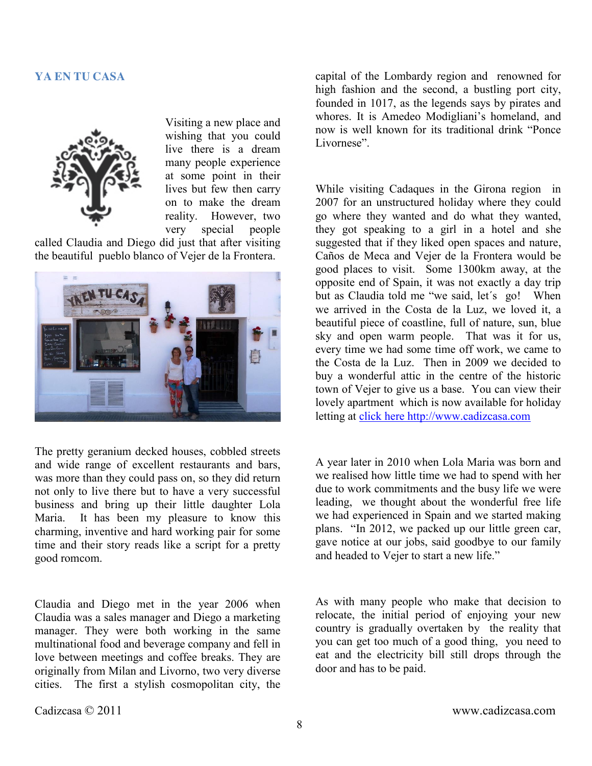## **YA EN TU CASA**



Visiting a new place and wishing that you could live there is a dream many people experience at some point in their lives but few then carry on to make the dream reality. However, two very special people

called Claudia and Diego did just that after visiting the beautiful pueblo blanco of Vejer de la Frontera.



The pretty geranium decked houses, cobbled streets and wide range of excellent restaurants and bars, was more than they could pass on, so they did return not only to live there but to have a very successful business and bring up their little daughter Lola Maria. It has been my pleasure to know this charming, inventive and hard working pair for some time and their story reads like a script for a pretty good romcom.

Claudia and Diego met in the year 2006 when Claudia was a sales manager and Diego a marketing manager. They were both working in the same multinational food and beverage company and fell in love between meetings and coffee breaks. They are originally from Milan and Livorno, two very diverse cities. The first a stylish cosmopolitan city, the

capital of the Lombardy region and renowned for high fashion and the second, a bustling port city, founded in 1017, as the legends says by pirates and whores. It is Amedeo Modigliani's homeland, and now is well known for its traditional drink "Ponce Livornese".

While visiting Cadaques in the Girona region in 2007 for an unstructured holiday where they could go where they wanted and do what they wanted, they got speaking to a girl in a hotel and she suggested that if they liked open spaces and nature, Caños de Meca and Vejer de la Frontera would be good places to visit. Some 1300km away, at the opposite end of Spain, it was not exactly a day trip but as Claudia told me "we said, let's go! When we arrived in the Costa de la Luz, we loved it, a beautiful piece of coastline, full of nature, sun, blue sky and open warm people. That was it for us, every time we had some time off work, we came to the Costa de la Luz. Then in 2009 we decided to buy a wonderful attic in the centre of the historic town of Vejer to give us a base. You can view their lovely apartment which is now available for holiday letting at [click here http://www.cadizcasa.com](http://www.cadizcasa.com/en/listing.html?listingID=21478&action=listingview%23!prettyPhoto)

A year later in 2010 when Lola Maria was born and we realised how little time we had to spend with her due to work commitments and the busy life we were leading, we thought about the wonderful free life we had experienced in Spain and we started making plans. "In 2012, we packed up our little green car, gave notice at our jobs, said goodbye to our family and headed to Vejer to start a new life."

As with many people who make that decision to relocate, the initial period of enjoying your new country is gradually overtaken by the reality that you can get too much of a good thing, you need to eat and the electricity bill still drops through the door and has to be paid.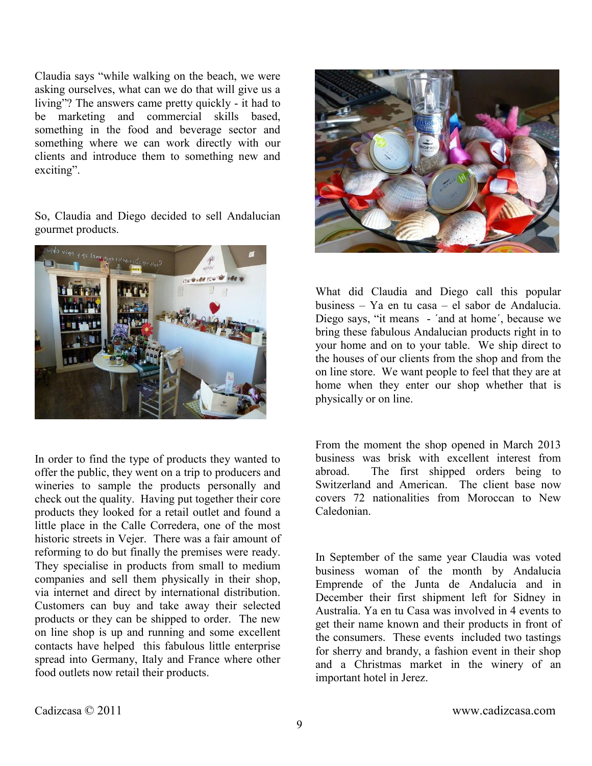Claudia says "while walking on the beach, we were asking ourselves, what can we do that will give us a living"? The answers came pretty quickly - it had to be marketing and commercial skills based, something in the food and beverage sector and something where we can work directly with our clients and introduce them to something new and exciting".

So, Claudia and Diego decided to sell Andalucian gourmet products.



In order to find the type of products they wanted to offer the public, they went on a trip to producers and wineries to sample the products personally and check out the quality. Having put together their core products they looked for a retail outlet and found a little place in the Calle Corredera, one of the most historic streets in Vejer. There was a fair amount of reforming to do but finally the premises were ready. They specialise in products from small to medium companies and sell them physically in their shop, via internet and direct by international distribution. Customers can buy and take away their selected products or they can be shipped to order. The new on line shop is up and running and some excellent contacts have helped this fabulous little enterprise spread into Germany, Italy and France where other food outlets now retail their products.



What did Claudia and Diego call this popular business – Ya en tu casa – el sabor de Andalucia. Diego says, "it means - ´and at home´, because we bring these fabulous Andalucian products right in to your home and on to your table. We ship direct to the houses of our clients from the shop and from the on line store. We want people to feel that they are at home when they enter our shop whether that is physically or on line.

From the moment the shop opened in March 2013 business was brisk with excellent interest from abroad. The first shipped orders being to Switzerland and American. The client base now covers 72 nationalities from Moroccan to New Caledonian.

In September of the same year Claudia was voted business woman of the month by Andalucia Emprende of the Junta de Andalucia and in December their first shipment left for Sidney in Australia. Ya en tu Casa was involved in 4 events to get their name known and their products in front of the consumers. These events included two tastings for sherry and brandy, a fashion event in their shop and a Christmas market in the winery of an important hotel in Jerez.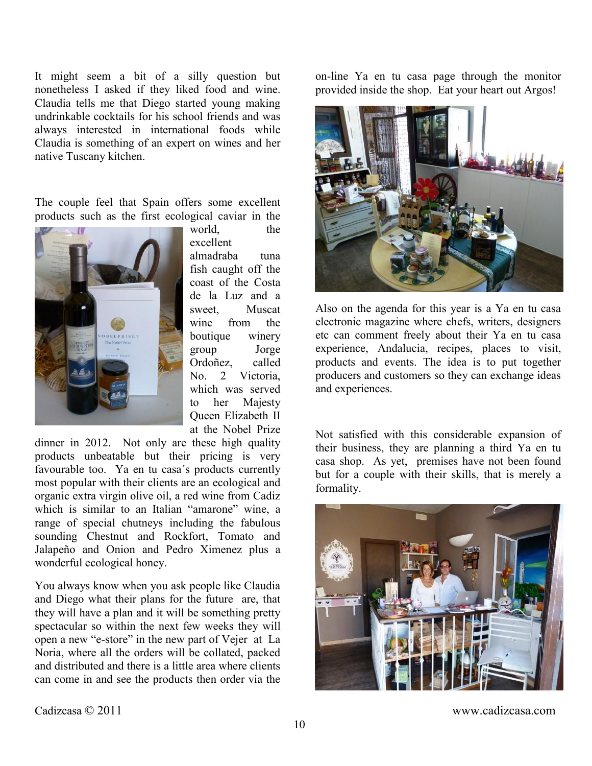It might seem a bit of a silly question but nonetheless I asked if they liked food and wine. Claudia tells me that Diego started young making undrinkable cocktails for his school friends and was always interested in international foods while Claudia is something of an expert on wines and her native Tuscany kitchen.

The couple feel that Spain offers some excellent products such as the first ecological caviar in the



world, the excellent

almadraba tuna fish caught off the coast of the Costa de la Luz and a sweet, Muscat wine from the boutique winery group Jorge Ordoñez, called No. 2 Victoria, which was served to her Majesty Queen Elizabeth II at the Nobel Prize

dinner in 2012. Not only are these high quality products unbeatable but their pricing is very favourable too. Ya en tu casa´s products currently most popular with their clients are an ecological and organic extra virgin olive oil, a red wine from Cadiz which is similar to an Italian "amarone" wine, a range of special chutneys including the fabulous sounding Chestnut and Rockfort, Tomato and Jalapeño and Onion and Pedro Ximenez plus a wonderful ecological honey.

You always know when you ask people like Claudia and Diego what their plans for the future are, that they will have a plan and it will be something pretty spectacular so within the next few weeks they will open a new "e-store" in the new part of Vejer at La Noria, where all the orders will be collated, packed and distributed and there is a little area where clients can come in and see the products then order via the

on-line Ya en tu casa page through the monitor provided inside the shop. Eat your heart out Argos!



Also on the agenda for this year is a Ya en tu casa electronic magazine where chefs, writers, designers etc can comment freely about their Ya en tu casa experience, Andalucia, recipes, places to visit, products and events. The idea is to put together producers and customers so they can exchange ideas and experiences.

Not satisfied with this considerable expansion of their business, they are planning a third Ya en tu casa shop. As yet, premises have not been found but for a couple with their skills, that is merely a formality.



Cadizcasa © 2011 www.cadizcasa.com